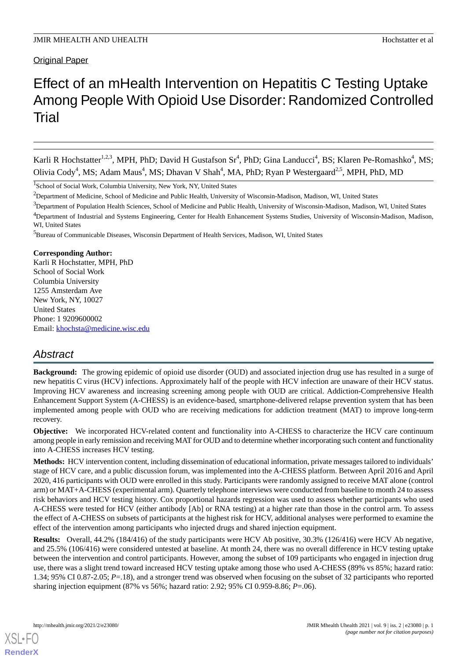# Original Paper

# Effect of an mHealth Intervention on Hepatitis C Testing Uptake Among People With Opioid Use Disorder: Randomized Controlled **Trial**

Karli R Hochstatter<sup>1,2,3</sup>, MPH, PhD; David H Gustafson Sr<sup>4</sup>, PhD; Gina Landucci<sup>4</sup>, BS; Klaren Pe-Romashko<sup>4</sup>, MS; Olivia Cody<sup>4</sup>, MS; Adam Maus<sup>4</sup>, MS; Dhavan V Shah<sup>4</sup>, MA, PhD; Ryan P Westergaard<sup>2,5</sup>, MPH, PhD, MD

1 School of Social Work, Columbia University, New York, NY, United States

<sup>2</sup>Department of Medicine, School of Medicine and Public Health, University of Wisconsin-Madison, Madison, WI, United States

<sup>3</sup>Department of Population Health Sciences, School of Medicine and Public Health, University of Wisconsin-Madison, Madison, WI, United States

<sup>5</sup>Bureau of Communicable Diseases, Wisconsin Department of Health Services, Madison, WI, United States

#### **Corresponding Author:**

Karli R Hochstatter, MPH, PhD School of Social Work Columbia University 1255 Amsterdam Ave New York, NY, 10027 United States Phone: 1 9209600002 Email: [khochsta@medicine.wisc.edu](mailto:khochsta@medicine.wisc.edu)

# *Abstract*

**Background:** The growing epidemic of opioid use disorder (OUD) and associated injection drug use has resulted in a surge of new hepatitis C virus (HCV) infections. Approximately half of the people with HCV infection are unaware of their HCV status. Improving HCV awareness and increasing screening among people with OUD are critical. Addiction-Comprehensive Health Enhancement Support System (A-CHESS) is an evidence-based, smartphone-delivered relapse prevention system that has been implemented among people with OUD who are receiving medications for addiction treatment (MAT) to improve long-term recovery.

**Objective:** We incorporated HCV-related content and functionality into A-CHESS to characterize the HCV care continuum among people in early remission and receiving MAT for OUD and to determine whether incorporating such content and functionality into A-CHESS increases HCV testing.

**Methods:** HCV intervention content, including dissemination of educational information, private messages tailored to individuals' stage of HCV care, and a public discussion forum, was implemented into the A-CHESS platform. Between April 2016 and April 2020, 416 participants with OUD were enrolled in this study. Participants were randomly assigned to receive MAT alone (control arm) or MAT+A-CHESS (experimental arm). Quarterly telephone interviews were conducted from baseline to month 24 to assess risk behaviors and HCV testing history. Cox proportional hazards regression was used to assess whether participants who used A-CHESS were tested for HCV (either antibody [Ab] or RNA testing) at a higher rate than those in the control arm. To assess the effect of A-CHESS on subsets of participants at the highest risk for HCV, additional analyses were performed to examine the effect of the intervention among participants who injected drugs and shared injection equipment.

**Results:** Overall, 44.2% (184/416) of the study participants were HCV Ab positive, 30.3% (126/416) were HCV Ab negative, and 25.5% (106/416) were considered untested at baseline. At month 24, there was no overall difference in HCV testing uptake between the intervention and control participants. However, among the subset of 109 participants who engaged in injection drug use, there was a slight trend toward increased HCV testing uptake among those who used A-CHESS (89% vs 85%; hazard ratio: 1.34; 95% CI 0.87-2.05; *P*=.18), and a stronger trend was observed when focusing on the subset of 32 participants who reported sharing injection equipment (87% vs 56%; hazard ratio: 2.92; 95% CI 0.959-8.86; *P*=.06).

[XSL](http://www.w3.org/Style/XSL)•FO **[RenderX](http://www.renderx.com/)**

<sup>&</sup>lt;sup>4</sup>Department of Industrial and Systems Engineering, Center for Health Enhancement Systems Studies, University of Wisconsin-Madison, Madison, WI, United States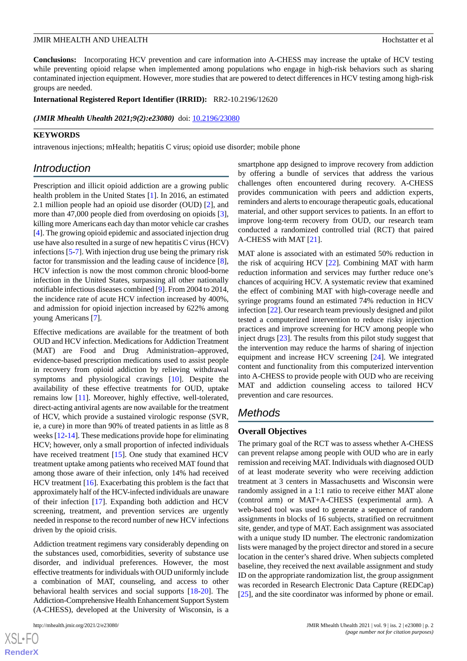**Conclusions:** Incorporating HCV prevention and care information into A-CHESS may increase the uptake of HCV testing while preventing opioid relapse when implemented among populations who engage in high-risk behaviors such as sharing contaminated injection equipment. However, more studies that are powered to detect differences in HCV testing among high-risk groups are needed.

**International Registered Report Identifier (IRRID):** RR2-10.2196/12620

*(JMIR Mhealth Uhealth 2021;9(2):e23080)* doi: [10.2196/23080](http://dx.doi.org/10.2196/23080)

#### **KEYWORDS**

intravenous injections; mHealth; hepatitis C virus; opioid use disorder; mobile phone

# *Introduction*

Prescription and illicit opioid addiction are a growing public health problem in the United States [\[1](#page-11-0)]. In 2016, an estimated 2.1 million people had an opioid use disorder (OUD) [[2](#page-11-1)], and more than 47,000 people died from overdosing on opioids [[3\]](#page-11-2), killing more Americans each day than motor vehicle car crashes [[4\]](#page-11-3). The growing opioid epidemic and associated injection drug use have also resulted in a surge of new hepatitis C virus (HCV) infections [[5](#page-11-4)-[7\]](#page-11-5). With injection drug use being the primary risk factor for transmission and the leading cause of incidence [[8\]](#page-11-6), HCV infection is now the most common chronic blood-borne infection in the United States, surpassing all other nationally notifiable infectious diseases combined [[9\]](#page-11-7). From 2004 to 2014, the incidence rate of acute HCV infection increased by 400%, and admission for opioid injection increased by 622% among young Americans [\[7](#page-11-5)].

Effective medications are available for the treatment of both OUD and HCV infection. Medications for Addiction Treatment (MAT) are Food and Drug Administration–approved, evidence-based prescription medications used to assist people in recovery from opioid addiction by relieving withdrawal symptoms and physiological cravings [\[10](#page-11-8)]. Despite the availability of these effective treatments for OUD, uptake remains low [[11\]](#page-11-9). Moreover, highly effective, well-tolerated, direct-acting antiviral agents are now available for the treatment of HCV, which provide a sustained virologic response (SVR, ie, a cure) in more than 90% of treated patients in as little as 8 weeks [[12-](#page-11-10)[14\]](#page-11-11). These medications provide hope for eliminating HCV; however, only a small proportion of infected individuals have received treatment [[15\]](#page-11-12). One study that examined HCV treatment uptake among patients who received MAT found that among those aware of their infection, only 14% had received HCV treatment [[16\]](#page-11-13). Exacerbating this problem is the fact that approximately half of the HCV-infected individuals are unaware of their infection [[17\]](#page-11-14). Expanding both addiction and HCV screening, treatment, and prevention services are urgently needed in response to the record number of new HCV infections driven by the opioid crisis.

Addiction treatment regimens vary considerably depending on the substances used, comorbidities, severity of substance use disorder, and individual preferences. However, the most effective treatments for individuals with OUD uniformly include a combination of MAT, counseling, and access to other behavioral health services and social supports [\[18](#page-11-15)-[20\]](#page-11-16). The Addiction-Comprehensive Health Enhancement Support System (A-CHESS), developed at the University of Wisconsin, is a

 $XS$ -FO **[RenderX](http://www.renderx.com/)** smartphone app designed to improve recovery from addiction by offering a bundle of services that address the various challenges often encountered during recovery. A-CHESS provides communication with peers and addiction experts, reminders and alerts to encourage therapeutic goals, educational material, and other support services to patients. In an effort to improve long-term recovery from OUD, our research team conducted a randomized controlled trial (RCT) that paired A-CHESS with MAT [\[21](#page-11-17)].

MAT alone is associated with an estimated 50% reduction in the risk of acquiring HCV [[22\]](#page-12-0). Combining MAT with harm reduction information and services may further reduce one's chances of acquiring HCV. A systematic review that examined the effect of combining MAT with high-coverage needle and syringe programs found an estimated 74% reduction in HCV infection [\[22](#page-12-0)]. Our research team previously designed and pilot tested a computerized intervention to reduce risky injection practices and improve screening for HCV among people who inject drugs [\[23](#page-12-1)]. The results from this pilot study suggest that the intervention may reduce the harms of sharing of injection equipment and increase HCV screening [[24\]](#page-12-2). We integrated content and functionality from this computerized intervention into A-CHESS to provide people with OUD who are receiving MAT and addiction counseling access to tailored HCV prevention and care resources.

### *Methods*

#### **Overall Objectives**

The primary goal of the RCT was to assess whether A-CHESS can prevent relapse among people with OUD who are in early remission and receiving MAT. Individuals with diagnosed OUD of at least moderate severity who were receiving addiction treatment at 3 centers in Massachusetts and Wisconsin were randomly assigned in a 1:1 ratio to receive either MAT alone (control arm) or MAT+A-CHESS (experimental arm). A web-based tool was used to generate a sequence of random assignments in blocks of 16 subjects, stratified on recruitment site, gender, and type of MAT. Each assignment was associated with a unique study ID number. The electronic randomization lists were managed by the project director and stored in a secure location in the center's shared drive. When subjects completed baseline, they received the next available assignment and study ID on the appropriate randomization list, the group assignment was recorded in Research Electronic Data Capture (REDCap) [[25\]](#page-12-3), and the site coordinator was informed by phone or email.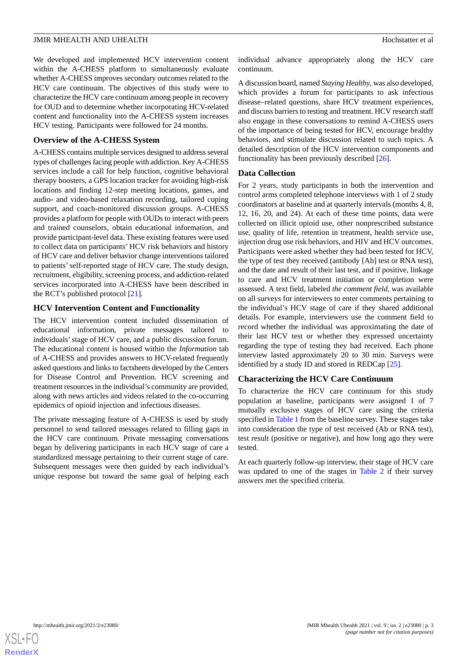We developed and implemented HCV intervention content within the A-CHESS platform to simultaneously evaluate whether A-CHESS improves secondary outcomes related to the HCV care continuum. The objectives of this study were to characterize the HCV care continuum among people in recovery for OUD and to determine whether incorporating HCV-related content and functionality into the A-CHESS system increases HCV testing. Participants were followed for 24 months.

#### **Overview of the A-CHESS System**

A-CHESS contains multiple services designed to address several types of challenges facing people with addiction. Key A-CHESS services include a call for help function, cognitive behavioral therapy boosters, a GPS location tracker for avoiding high-risk locations and finding 12-step meeting locations, games, and audio- and video-based relaxation recording, tailored coping support, and coach-monitored discussion groups. A-CHESS provides a platform for people with OUDs to interact with peers and trained counselors, obtain educational information, and provide participant-level data. These existing features were used to collect data on participants' HCV risk behaviors and history of HCV care and deliver behavior change interventions tailored to patients'self-reported stage of HCV care. The study design, recruitment, eligibility, screening process, and addiction-related services incorporated into A-CHESS have been described in the RCT's published protocol [\[21](#page-11-17)].

#### **HCV Intervention Content and Functionality**

The HCV intervention content included dissemination of educational information, private messages tailored to individuals'stage of HCV care, and a public discussion forum. The educational content is housed within the *Information* tab of A-CHESS and provides answers to HCV-related frequently asked questions and links to factsheets developed by the Centers for Disease Control and Prevention. HCV screening and treatment resources in the individual's community are provided, along with news articles and videos related to the co-occurring epidemics of opioid injection and infectious diseases.

The private messaging feature of A-CHESS is used by study personnel to send tailored messages related to filling gaps in the HCV care continuum. Private messaging conversations began by delivering participants in each HCV stage of care a standardized message pertaining to their current stage of care. Subsequent messages were then guided by each individual's unique response but toward the same goal of helping each

individual advance appropriately along the HCV care continuum.

A discussion board, named *Staying Healthy*, was also developed, which provides a forum for participants to ask infectious disease–related questions, share HCV treatment experiences, and discuss barriers to testing and treatment. HCV research staff also engage in these conversations to remind A-CHESS users of the importance of being tested for HCV, encourage healthy behaviors, and stimulate discussion related to such topics. A detailed description of the HCV intervention components and functionality has been previously described [\[26](#page-12-4)].

#### **Data Collection**

For 2 years, study participants in both the intervention and control arms completed telephone interviews with 1 of 2 study coordinators at baseline and at quarterly intervals (months 4, 8, 12, 16, 20, and 24). At each of these time points, data were collected on illicit opioid use, other nonprescribed substance use, quality of life, retention in treatment, health service use, injection drug use risk behaviors, and HIV and HCV outcomes. Participants were asked whether they had been tested for HCV, the type of test they received (antibody [Ab] test or RNA test), and the date and result of their last test, and if positive, linkage to care and HCV treatment initiation or completion were assessed. A text field, labeled *the comment field*, was available on all surveys for interviewers to enter comments pertaining to the individual's HCV stage of care if they shared additional details. For example, interviewers use the comment field to record whether the individual was approximating the date of their last HCV test or whether they expressed uncertainty regarding the type of testing they had received. Each phone interview lasted approximately 20 to 30 min. Surveys were identified by a study ID and stored in REDCap [\[25](#page-12-3)].

#### **Characterizing the HCV Care Continuum**

To characterize the HCV care continuum for this study population at baseline, participants were assigned 1 of 7 mutually exclusive stages of HCV care using the criteria specified in [Table 1](#page-3-0) from the baseline survey. These stages take into consideration the type of test received (Ab or RNA test), test result (positive or negative), and how long ago they were tested.

At each quarterly follow-up interview, their stage of HCV care was updated to one of the stages in [Table 2](#page-3-1) if their survey answers met the specified criteria.

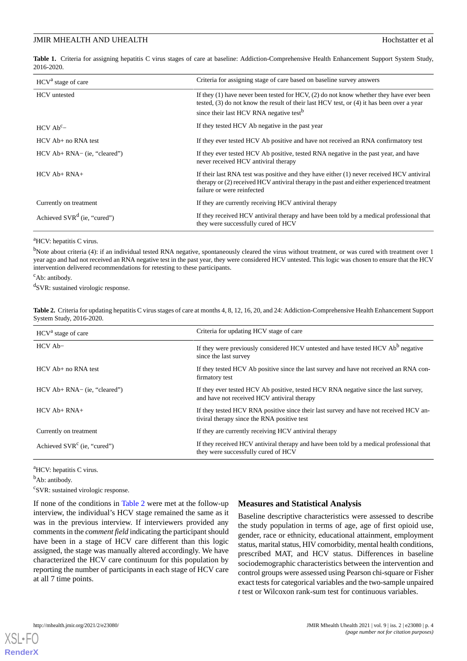<span id="page-3-0"></span>Table 1. Criteria for assigning hepatitis C virus stages of care at baseline: Addiction-Comprehensive Health Enhancement Support System Study, 2016-2020.

| $HCVa$ stage of care              | Criteria for assigning stage of care based on baseline survey answers                                                                                                                                                                               |
|-----------------------------------|-----------------------------------------------------------------------------------------------------------------------------------------------------------------------------------------------------------------------------------------------------|
| HCV untested                      | If they $(1)$ have never been tested for HCV, $(2)$ do not know whether they have ever been<br>tested, $(3)$ do not know the result of their last HCV test, or $(4)$ it has been over a year<br>since their last HCV RNA negative test <sup>b</sup> |
| $HCV$ Ab <sup>c</sup> $-$         | If they tested HCV Ab negative in the past year                                                                                                                                                                                                     |
| HCV Ab+ no RNA test               | If they ever tested HCV Ab positive and have not received an RNA confirmatory test                                                                                                                                                                  |
| $HCV$ Ab+ $RNA$ – (ie, "cleared") | If they ever tested HCV Ab positive, tested RNA negative in the past year, and have<br>never received HCV antiviral therapy                                                                                                                         |
| $HCV$ Ab + $RNA+$                 | If their last RNA test was positive and they have either (1) never received HCV antiviral<br>therapy or (2) received HCV antiviral therapy in the past and either experienced treatment<br>failure or were reinfected                               |
| Currently on treatment            | If they are currently receiving HCV antiviral therapy                                                                                                                                                                                               |
| Achieved $SVRd$ (ie, "cured")     | If they received HCV antiviral therapy and have been told by a medical professional that<br>they were successfully cured of HCV                                                                                                                     |

<sup>a</sup>HCV: hepatitis C virus.

 $<sup>b</sup>$ Note about criteria (4): if an individual tested RNA negative, spontaneously cleared the virus without treatment, or was cured with treatment over 1</sup> year ago and had not received an RNA negative test in the past year, they were considered HCV untested. This logic was chosen to ensure that the HCV intervention delivered recommendations for retesting to these participants.

<span id="page-3-1"></span><sup>c</sup>Ab: antibody.

<sup>d</sup>SVR: sustained virologic response.

**Table 2.** Criteria for updating hepatitis C virus stages of care at months 4, 8, 12, 16, 20, and 24: Addiction-Comprehensive Health Enhancement Support System Study, 2016-2020.

| HCV <sup>a</sup> stage of care          | Criteria for updating HCV stage of care                                                                                              |
|-----------------------------------------|--------------------------------------------------------------------------------------------------------------------------------------|
| $HCV$ Ab-                               | If they were previously considered HCV untested and have tested HCV Ab <sup>b</sup> negative<br>since the last survey                |
| $HCV$ Ab $+$ no RNA test                | If they tested HCV Ab positive since the last survey and have not received an RNA con-<br>firmatory test                             |
| $HCV$ Ab+ $RNA$ – (ie, "cleared")       | If they ever tested HCV Ab positive, tested HCV RNA negative since the last survey,<br>and have not received HCV antiviral therapy   |
| $HCV$ Ab + $RNA+$                       | If they tested HCV RNA positive since their last survey and have not received HCV an-<br>tiviral therapy since the RNA positive test |
| Currently on treatment                  | If they are currently receiving HCV antiviral therapy                                                                                |
| Achieved SVR <sup>c</sup> (ie, "cured") | If they received HCV antiviral therapy and have been told by a medical professional that<br>they were successfully cured of HCV      |

<sup>a</sup>HCV: hepatitis C virus.

<sup>b</sup>Ab: antibody.

<sup>c</sup>SVR: sustained virologic response.

If none of the conditions in [Table 2](#page-3-1) were met at the follow-up interview, the individual's HCV stage remained the same as it was in the previous interview. If interviewers provided any comments in the *comment field* indicating the participant should have been in a stage of HCV care different than this logic assigned, the stage was manually altered accordingly. We have characterized the HCV care continuum for this population by reporting the number of participants in each stage of HCV care at all 7 time points.

#### **Measures and Statistical Analysis**

Baseline descriptive characteristics were assessed to describe the study population in terms of age, age of first opioid use, gender, race or ethnicity, educational attainment, employment status, marital status, HIV comorbidity, mental health conditions, prescribed MAT, and HCV status. Differences in baseline sociodemographic characteristics between the intervention and control groups were assessed using Pearson chi-square or Fisher exact tests for categorical variables and the two-sample unpaired *t* test or Wilcoxon rank-sum test for continuous variables.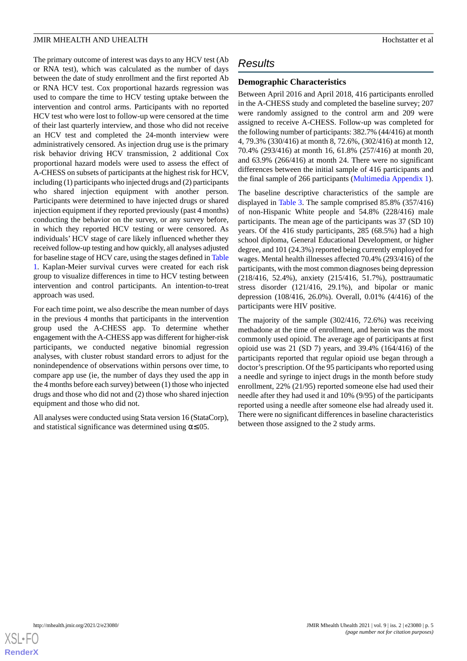The primary outcome of interest was days to any HCV test (Ab or RNA test), which was calculated as the number of days between the date of study enrollment and the first reported Ab or RNA HCV test. Cox proportional hazards regression was used to compare the time to HCV testing uptake between the intervention and control arms. Participants with no reported HCV test who were lost to follow-up were censored at the time of their last quarterly interview, and those who did not receive an HCV test and completed the 24-month interview were administratively censored. As injection drug use is the primary risk behavior driving HCV transmission, 2 additional Cox proportional hazard models were used to assess the effect of A-CHESS on subsets of participants at the highest risk for HCV, including (1) participants who injected drugs and (2) participants who shared injection equipment with another person. Participants were determined to have injected drugs or shared injection equipment if they reported previously (past 4 months) conducting the behavior on the survey, or any survey before, in which they reported HCV testing or were censored. As individuals' HCV stage of care likely influenced whether they received follow-up testing and how quickly, all analyses adjusted for baseline stage of HCV care, using the stages defined in [Table](#page-3-0) [1.](#page-3-0) Kaplan-Meier survival curves were created for each risk group to visualize differences in time to HCV testing between intervention and control participants. An intention-to-treat approach was used.

For each time point, we also describe the mean number of days in the previous 4 months that participants in the intervention group used the A-CHESS app. To determine whether engagement with the A-CHESS app was different for higher-risk participants, we conducted negative binomial regression analyses, with cluster robust standard errors to adjust for the nonindependence of observations within persons over time, to compare app use (ie, the number of days they used the app in the 4 months before each survey) between (1) those who injected drugs and those who did not and (2) those who shared injection equipment and those who did not.

All analyses were conducted using Stata version 16 (StataCorp), and statistical significance was determined using  $\alpha \leq 0.05$ .

# *Results*

#### **Demographic Characteristics**

Between April 2016 and April 2018, 416 participants enrolled in the A-CHESS study and completed the baseline survey; 207 were randomly assigned to the control arm and 209 were assigned to receive A-CHESS. Follow-up was completed for the following number of participants: 382.7% (44/416) at month 4, 79.3% (330/416) at month 8, 72.6%, (302/416) at month 12, 70.4% (293/416) at month 16, 61.8% (257/416) at month 20, and 63.9% (266/416) at month 24. There were no significant differences between the initial sample of 416 participants and the final sample of 266 participants ([Multimedia Appendix 1\)](#page-10-0).

The baseline descriptive characteristics of the sample are displayed in [Table 3](#page-5-0). The sample comprised 85.8% (357/416) of non-Hispanic White people and 54.8% (228/416) male participants. The mean age of the participants was 37 (SD 10) years. Of the 416 study participants, 285 (68.5%) had a high school diploma, General Educational Development, or higher degree, and 101 (24.3%) reported being currently employed for wages. Mental health illnesses affected 70.4% (293/416) of the participants, with the most common diagnoses being depression (218/416, 52.4%), anxiety (215/416, 51.7%), posttraumatic stress disorder (121/416, 29.1%), and bipolar or manic depression (108/416, 26.0%). Overall, 0.01% (4/416) of the participants were HIV positive.

The majority of the sample (302/416, 72.6%) was receiving methadone at the time of enrollment, and heroin was the most commonly used opioid. The average age of participants at first opioid use was 21 (SD 7) years, and 39.4% (164/416) of the participants reported that regular opioid use began through a doctor's prescription. Of the 95 participants who reported using a needle and syringe to inject drugs in the month before study enrollment, 22% (21/95) reported someone else had used their needle after they had used it and 10% (9/95) of the participants reported using a needle after someone else had already used it. There were no significant differences in baseline characteristics between those assigned to the 2 study arms.

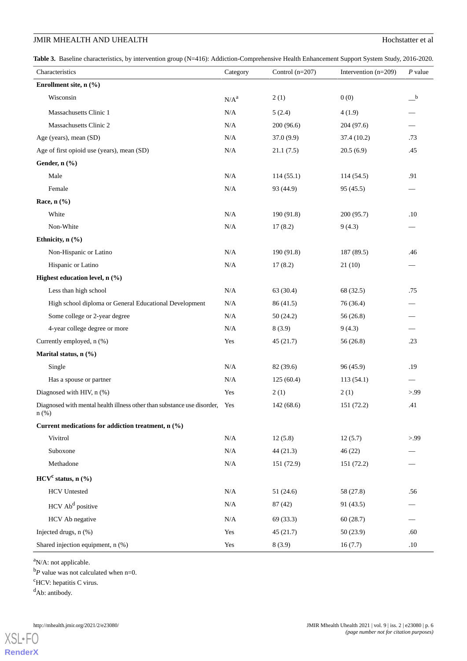## **JMIR MHEALTH AND UHEALTH Hochstatter et al.**

<span id="page-5-0"></span>Table 3. Baseline characteristics, by intervention group (N=416): Addiction-Comprehensive Health Enhancement Support System Study, 2016-2020.

| Characteristics                                                                        | Category  | Control $(n=207)$ | Intervention $(n=209)$ | $P$ value    |
|----------------------------------------------------------------------------------------|-----------|-------------------|------------------------|--------------|
| Enrollment site, n (%)                                                                 |           |                   |                        |              |
| Wisconsin                                                                              | $N/A^a$   | 2(1)              | 0(0)                   | $\mathbf{b}$ |
| Massachusetts Clinic 1                                                                 | N/A       | 5(2.4)            | 4(1.9)                 |              |
| Massachusetts Clinic 2                                                                 | N/A       | 200 (96.6)        | 204 (97.6)             |              |
| Age (years), mean (SD)                                                                 | $\rm N/A$ | 37.0(9.9)         | 37.4 (10.2)            | .73          |
| Age of first opioid use (years), mean (SD)                                             | $\rm N/A$ | 21.1(7.5)         | 20.5(6.9)              | .45          |
| Gender, n (%)                                                                          |           |                   |                        |              |
| Male                                                                                   | $\rm N/A$ | 114(55.1)         | 114(54.5)              | .91          |
| Female                                                                                 | N/A       | 93 (44.9)         | 95(45.5)               |              |
| Race, $n$ (%)                                                                          |           |                   |                        |              |
| White                                                                                  | $\rm N/A$ | 190 (91.8)        | 200 (95.7)             | .10          |
| Non-White                                                                              | N/A       | 17(8.2)           | 9(4.3)                 |              |
| Ethnicity, n (%)                                                                       |           |                   |                        |              |
| Non-Hispanic or Latino                                                                 | $\rm N/A$ | 190 (91.8)        | 187 (89.5)             | .46          |
| Hispanic or Latino                                                                     | N/A       | 17(8.2)           | 21(10)                 |              |
| Highest education level, n (%)                                                         |           |                   |                        |              |
| Less than high school                                                                  | $\rm N/A$ | 63 (30.4)         | 68 (32.5)              | .75          |
| High school diploma or General Educational Development                                 | $\rm N/A$ | 86 (41.5)         | 76 (36.4)              |              |
| Some college or 2-year degree                                                          | N/A       | 50(24.2)          | 56(26.8)               |              |
| 4-year college degree or more                                                          | N/A       | 8(3.9)            | 9(4.3)                 |              |
| Currently employed, n (%)                                                              | Yes       | 45(21.7)          | 56(26.8)               | .23          |
| Marital status, n (%)                                                                  |           |                   |                        |              |
| Single                                                                                 | N/A       | 82 (39.6)         | 96(45.9)               | .19          |
| Has a spouse or partner                                                                | N/A       | 125(60.4)         | 113(54.1)              |              |
| Diagnosed with HIV, n (%)                                                              | Yes       | 2(1)              | 2(1)                   | > 99         |
| Diagnosed with mental health illness other than substance use disorder, Yes<br>$n$ (%) |           | 142 (68.6)        | 151 (72.2)             | .41          |
| Current medications for addiction treatment, n (%)                                     |           |                   |                        |              |
| Vivitrol                                                                               | N/A       | 12(5.8)           | 12(5.7)                | > 0.99       |
| Suboxone                                                                               | N/A       | 44(21.3)          | 46(22)                 |              |
| Methadone                                                                              | N/A       | 151 (72.9)        | 151(72.2)              |              |
| $HCV^c$ status, n $(\frac{6}{6})$                                                      |           |                   |                        |              |
| <b>HCV</b> Untested                                                                    | N/A       | 51(24.6)          | 58 (27.8)              | .56          |
| HCV Ab <sup>d</sup> positive                                                           | N/A       | 87(42)            | 91 (43.5)              |              |
| HCV Ab negative                                                                        | N/A       | 69 (33.3)         | 60(28.7)               |              |
| Injected drugs, n (%)                                                                  | Yes       | 45(21.7)          | 50(23.9)               | .60          |
| Shared injection equipment, n (%)                                                      | Yes       | 8(3.9)            | 16(7.7)                | .10          |

<sup>a</sup>N/A: not applicable.

<sup>b</sup>*P* value was not calculated when n=0.

<sup>c</sup>HCV: hepatitis C virus.

<sup>d</sup>Ab: antibody.

[XSL](http://www.w3.org/Style/XSL)•FO **[RenderX](http://www.renderx.com/)**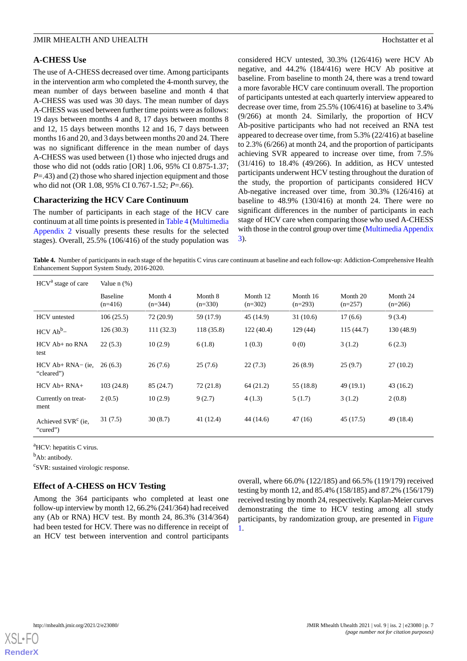#### **A-CHESS Use**

The use of A-CHESS decreased over time. Among participants in the intervention arm who completed the 4-month survey, the mean number of days between baseline and month 4 that A-CHESS was used was 30 days. The mean number of days A-CHESS was used between further time points were as follows: 19 days between months 4 and 8, 17 days between months 8 and 12, 15 days between months 12 and 16, 7 days between months 16 and 20, and 3 days between months 20 and 24. There was no significant difference in the mean number of days A-CHESS was used between (1) those who injected drugs and those who did not (odds ratio [OR] 1.06, 95% CI 0.875-1.37; *P*=.43) and (2) those who shared injection equipment and those who did not (OR 1.08, 95% CI 0.767-1.52; *P*=.66).

#### **Characterizing the HCV Care Continuum**

<span id="page-6-0"></span>The number of participants in each stage of the HCV care continuum at all time points is presented in [Table 4](#page-6-0) ([Multimedia](#page-10-1) [Appendix 2](#page-10-1) visually presents these results for the selected stages). Overall, 25.5% (106/416) of the study population was

considered HCV untested, 30.3% (126/416) were HCV Ab negative, and 44.2% (184/416) were HCV Ab positive at baseline. From baseline to month 24, there was a trend toward a more favorable HCV care continuum overall. The proportion of participants untested at each quarterly interview appeared to decrease over time, from 25.5% (106/416) at baseline to 3.4% (9/266) at month 24. Similarly, the proportion of HCV Ab-positive participants who had not received an RNA test appeared to decrease over time, from 5.3% (22/416) at baseline to 2.3% (6/266) at month 24, and the proportion of participants achieving SVR appeared to increase over time, from 7.5% (31/416) to 18.4% (49/266). In addition, as HCV untested participants underwent HCV testing throughout the duration of the study, the proportion of participants considered HCV Ab-negative increased over time, from 30.3% (126/416) at baseline to 48.9% (130/416) at month 24. There were no significant differences in the number of participants in each stage of HCV care when comparing those who used A-CHESS with those in the control group over time ([Multimedia Appendix](#page-10-2) [3\)](#page-10-2).

**Table 4.** Number of participants in each stage of the hepatitis C virus care continuum at baseline and each follow-up: Addiction-Comprehensive Health Enhancement Support System Study, 2016-2020.

| HCV <sup>a</sup> stage of care             | Value $n$ $(\%)$             |                      |                      |                       |                       |                       |                       |  |  |  |
|--------------------------------------------|------------------------------|----------------------|----------------------|-----------------------|-----------------------|-----------------------|-----------------------|--|--|--|
|                                            | <b>Baseline</b><br>$(n=416)$ | Month 4<br>$(n=344)$ | Month 8<br>$(n=330)$ | Month 12<br>$(n=302)$ | Month 16<br>$(n=293)$ | Month 20<br>$(n=257)$ | Month 24<br>$(n=266)$ |  |  |  |
| HCV untested                               | 106(25.5)                    | 72(20.9)             | 59 (17.9)            | 45 (14.9)             | 31(10.6)              | 17(6.6)               | 9(3.4)                |  |  |  |
| $HCV$ Ab <sup>b</sup> $-$                  | 126(30.3)                    | 111(32.3)            | 118(35.8)            | 122(40.4)             | 129(44)               | 115(44.7)             | 130(48.9)             |  |  |  |
| HCV Ab+ no RNA<br>test                     | 22(5.3)                      | 10(2.9)              | 6(1.8)               | 1(0.3)                | 0(0)                  | 3(1.2)                | 6(2.3)                |  |  |  |
| $HCV$ Ab+ $RNA$ – (ie,<br>"cleared")       | 26(6.3)                      | 26(7.6)              | 25(7.6)              | 22(7.3)               | 26(8.9)               | 25(9.7)               | 27(10.2)              |  |  |  |
| $HCV$ Ab+ $RNA+$                           | 103(24.8)                    | 85 (24.7)            | 72(21.8)             | 64(21.2)              | 55 (18.8)             | 49(19.1)              | 43 (16.2)             |  |  |  |
| Currently on treat-<br>ment                | 2(0.5)                       | 10(2.9)              | 9(2.7)               | 4(1.3)                | 5(1.7)                | 3(1.2)                | 2(0.8)                |  |  |  |
| Achieved SVR <sup>c</sup> (ie,<br>"cured") | 31(7.5)                      | 30(8.7)              | 41 (12.4)            | 44 (14.6)             | 47(16)                | 45 (17.5)             | 49 (18.4)             |  |  |  |

<sup>a</sup>HCV: hepatitis C virus.

<sup>b</sup>Ab: antibody.

<sup>c</sup>SVR: sustained virologic response.

#### **Effect of A-CHESS on HCV Testing**

Among the 364 participants who completed at least one follow-up interview by month 12, 66.2% (241/364) had received any (Ab or RNA) HCV test. By month 24, 86.3% (314/364) had been tested for HCV. There was no difference in receipt of an HCV test between intervention and control participants

overall, where 66.0% (122/185) and 66.5% (119/179) received testing by month 12, and 85.4% (158/185) and 87.2% (156/179) received testing by month 24, respectively. Kaplan-Meier curves demonstrating the time to HCV testing among all study participants, by randomization group, are presented in [Figure](#page-7-0) [1.](#page-7-0)

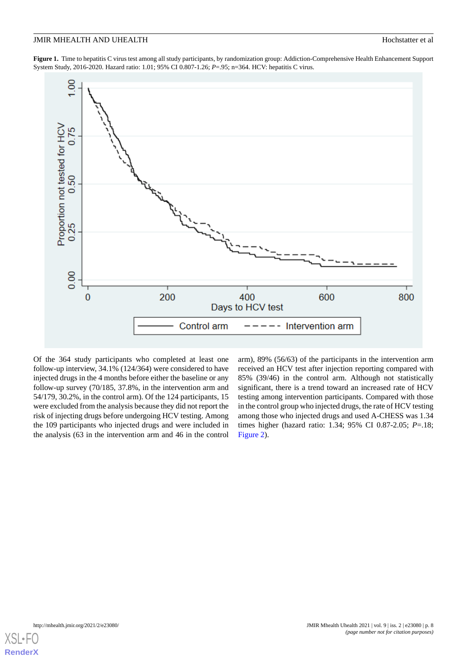<span id="page-7-0"></span>**Figure 1.** Time to hepatitis C virus test among all study participants, by randomization group: Addiction-Comprehensive Health Enhancement Support System Study, 2016-2020. Hazard ratio: 1.01; 95% CI 0.807-1.26; *P*=.95; n=364. HCV: hepatitis C virus.



Of the 364 study participants who completed at least one follow-up interview, 34.1% (124/364) were considered to have injected drugs in the 4 months before either the baseline or any follow-up survey (70/185, 37.8%, in the intervention arm and 54/179, 30.2%, in the control arm). Of the 124 participants, 15 were excluded from the analysis because they did not report the risk of injecting drugs before undergoing HCV testing. Among the 109 participants who injected drugs and were included in the analysis (63 in the intervention arm and 46 in the control arm), 89% (56/63) of the participants in the intervention arm received an HCV test after injection reporting compared with 85% (39/46) in the control arm. Although not statistically significant, there is a trend toward an increased rate of HCV testing among intervention participants. Compared with those in the control group who injected drugs, the rate of HCV testing among those who injected drugs and used A-CHESS was 1.34 times higher (hazard ratio: 1.34; 95% CI 0.87-2.05; *P*=.18; [Figure 2](#page-8-0)).

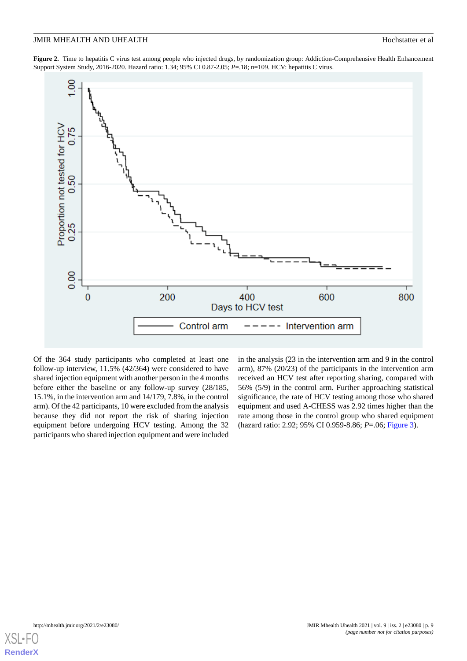<span id="page-8-0"></span>Figure 2. Time to hepatitis C virus test among people who injected drugs, by randomization group: Addiction-Comprehensive Health Enhancement Support System Study, 2016-2020. Hazard ratio: 1.34; 95% CI 0.87-2.05; *P*=.18; n=109. HCV: hepatitis C virus.



Of the 364 study participants who completed at least one follow-up interview, 11.5% (42/364) were considered to have shared injection equipment with another person in the 4 months before either the baseline or any follow-up survey (28/185, 15.1%, in the intervention arm and 14/179, 7.8%, in the control arm). Of the 42 participants, 10 were excluded from the analysis because they did not report the risk of sharing injection equipment before undergoing HCV testing. Among the 32 participants who shared injection equipment and were included

in the analysis (23 in the intervention arm and 9 in the control arm), 87% (20/23) of the participants in the intervention arm received an HCV test after reporting sharing, compared with 56% (5/9) in the control arm. Further approaching statistical significance, the rate of HCV testing among those who shared equipment and used A-CHESS was 2.92 times higher than the rate among those in the control group who shared equipment (hazard ratio: 2.92; 95% CI 0.959-8.86; *P*=.06; [Figure 3\)](#page-9-0).

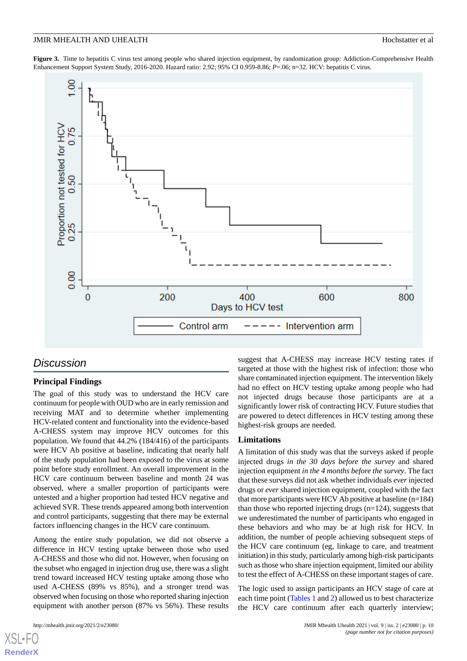<span id="page-9-0"></span>**Figure 3.** Time to hepatitis C virus test among people who shared injection equipment, by randomization group: Addiction-Comprehensive Health Enhancement Support System Study, 2016-2020. Hazard ratio: 2.92; 95% CI 0.959-8.86; *P*=.06; n=32. HCV: hepatitis C virus.



# *Discussion*

#### **Principal Findings**

The goal of this study was to understand the HCV care continuum for people with OUD who are in early remission and receiving MAT and to determine whether implementing HCV-related content and functionality into the evidence-based A-CHESS system may improve HCV outcomes for this population. We found that 44.2% (184/416) of the participants were HCV Ab positive at baseline, indicating that nearly half of the study population had been exposed to the virus at some point before study enrollment. An overall improvement in the HCV care continuum between baseline and month 24 was observed, where a smaller proportion of participants were untested and a higher proportion had tested HCV negative and achieved SVR. These trends appeared among both intervention and control participants, suggesting that there may be external factors influencing changes in the HCV care continuum.

Among the entire study population, we did not observe a difference in HCV testing uptake between those who used A-CHESS and those who did not. However, when focusing on the subset who engaged in injection drug use, there was a slight trend toward increased HCV testing uptake among those who used A-CHESS (89% vs 85%), and a stronger trend was observed when focusing on those who reported sharing injection equipment with another person (87% vs 56%). These results

[XSL](http://www.w3.org/Style/XSL)•FO **[RenderX](http://www.renderx.com/)**

suggest that A-CHESS may increase HCV testing rates if targeted at those with the highest risk of infection: those who share contaminated injection equipment. The intervention likely had no effect on HCV testing uptake among people who had not injected drugs because those participants are at a significantly lower risk of contracting HCV. Future studies that are powered to detect differences in HCV testing among these highest-risk groups are needed.

#### **Limitations**

A limitation of this study was that the surveys asked if people injected drugs *in the 30 days before the survey* and shared injection equipment *in the 4 months before the survey*. The fact that these surveys did not ask whether individuals *ever* injected drugs or *ever* shared injection equipment, coupled with the fact that more participants were HCV Ab positive at baseline (n=184) than those who reported injecting drugs  $(n=124)$ , suggests that we underestimated the number of participants who engaged in these behaviors and who may be at high risk for HCV. In addition, the number of people achieving subsequent steps of the HCV care continuum (eg, linkage to care, and treatment initiation) in this study, particularly among high-risk participants such as those who share injection equipment, limited our ability to test the effect of A-CHESS on these important stages of care.

The logic used to assign participants an HCV stage of care at each time point ([Tables 1](#page-3-0) and [2](#page-3-1)) allowed us to best characterize the HCV care continuum after each quarterly interview;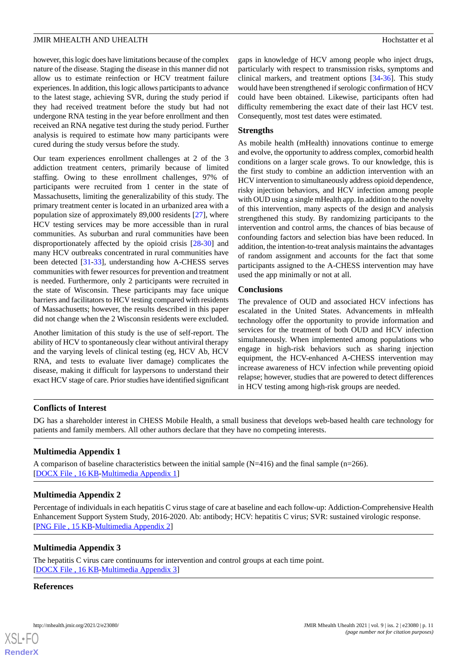however, this logic does have limitations because of the complex nature of the disease. Staging the disease in this manner did not allow us to estimate reinfection or HCV treatment failure experiences. In addition, this logic allows participants to advance to the latest stage, achieving SVR, during the study period if they had received treatment before the study but had not undergone RNA testing in the year before enrollment and then received an RNA negative test during the study period. Further analysis is required to estimate how many participants were cured during the study versus before the study.

Our team experiences enrollment challenges at 2 of the 3 addiction treatment centers, primarily because of limited staffing. Owing to these enrollment challenges, 97% of participants were recruited from 1 center in the state of Massachusetts, limiting the generalizability of this study. The primary treatment center is located in an urbanized area with a population size of approximately 89,000 residents [[27\]](#page-12-5), where HCV testing services may be more accessible than in rural communities. As suburban and rural communities have been disproportionately affected by the opioid crisis [\[28](#page-12-6)-[30\]](#page-12-7) and many HCV outbreaks concentrated in rural communities have been detected [\[31](#page-12-8)-[33\]](#page-12-9), understanding how A-CHESS serves communities with fewer resources for prevention and treatment is needed. Furthermore, only 2 participants were recruited in the state of Wisconsin. These participants may face unique barriers and facilitators to HCV testing compared with residents of Massachusetts; however, the results described in this paper did not change when the 2 Wisconsin residents were excluded.

Another limitation of this study is the use of self-report. The ability of HCV to spontaneously clear without antiviral therapy and the varying levels of clinical testing (eg, HCV Ab, HCV RNA, and tests to evaluate liver damage) complicates the disease, making it difficult for laypersons to understand their exact HCV stage of care. Prior studies have identified significant

gaps in knowledge of HCV among people who inject drugs, particularly with respect to transmission risks, symptoms and clinical markers, and treatment options [\[34](#page-12-10)[-36](#page-12-11)]. This study would have been strengthened if serologic confirmation of HCV could have been obtained. Likewise, participants often had difficulty remembering the exact date of their last HCV test. Consequently, most test dates were estimated.

#### **Strengths**

As mobile health (mHealth) innovations continue to emerge and evolve, the opportunity to address complex, comorbid health conditions on a larger scale grows. To our knowledge, this is the first study to combine an addiction intervention with an HCV intervention to simultaneously address opioid dependence, risky injection behaviors, and HCV infection among people with OUD using a single mHealth app. In addition to the novelty of this intervention, many aspects of the design and analysis strengthened this study. By randomizing participants to the intervention and control arms, the chances of bias because of confounding factors and selection bias have been reduced. In addition, the intention-to-treat analysis maintains the advantages of random assignment and accounts for the fact that some participants assigned to the A-CHESS intervention may have used the app minimally or not at all.

#### **Conclusions**

The prevalence of OUD and associated HCV infections has escalated in the United States. Advancements in mHealth technology offer the opportunity to provide information and services for the treatment of both OUD and HCV infection simultaneously. When implemented among populations who engage in high-risk behaviors such as sharing injection equipment, the HCV-enhanced A-CHESS intervention may increase awareness of HCV infection while preventing opioid relapse; however, studies that are powered to detect differences in HCV testing among high-risk groups are needed.

#### <span id="page-10-0"></span>**Conflicts of Interest**

DG has a shareholder interest in CHESS Mobile Health, a small business that develops web-based health care technology for patients and family members. All other authors declare that they have no competing interests.

#### <span id="page-10-1"></span>**Multimedia Appendix 1**

A comparison of baseline characteristics between the initial sample  $(N=416)$  and the final sample (n=266). [[DOCX File , 16 KB](https://jmir.org/api/download?alt_name=mhealth_v9i2e23080_app1.docx&filename=37850caecc4e72607cc16f301f3b97b2.docx)-[Multimedia Appendix 1\]](https://jmir.org/api/download?alt_name=mhealth_v9i2e23080_app1.docx&filename=37850caecc4e72607cc16f301f3b97b2.docx)

#### <span id="page-10-2"></span>**Multimedia Appendix 2**

Percentage of individuals in each hepatitis C virus stage of care at baseline and each follow-up: Addiction-Comprehensive Health Enhancement Support System Study, 2016-2020. Ab: antibody; HCV: hepatitis C virus; SVR: sustained virologic response. [[PNG File , 15 KB-Multimedia Appendix 2](https://jmir.org/api/download?alt_name=mhealth_v9i2e23080_app2.png&filename=284dec63cf2250991280f07d7b462b0c.png)]

#### **Multimedia Appendix 3**

The hepatitis C virus care continuums for intervention and control groups at each time point. [[DOCX File , 16 KB](https://jmir.org/api/download?alt_name=mhealth_v9i2e23080_app3.docx&filename=ae8b4b48d0a481e442e329e419a45ada.docx)-[Multimedia Appendix 3\]](https://jmir.org/api/download?alt_name=mhealth_v9i2e23080_app3.docx&filename=ae8b4b48d0a481e442e329e419a45ada.docx)

#### **References**

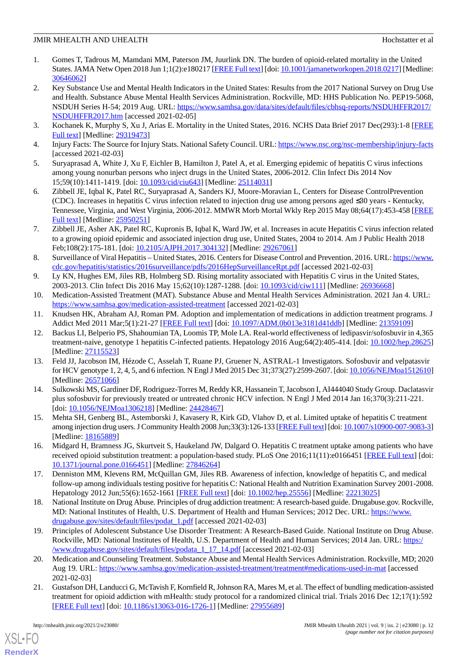#### JMIR MHEALTH AND UHEALTH

- <span id="page-11-0"></span>1. Gomes T, Tadrous M, Mamdani MM, Paterson JM, Juurlink DN. The burden of opioid-related mortality in the United States. JAMA Netw Open 2018 Jun 1;1(2):e180217 [[FREE Full text](https://jamanetwork.com/journals/jamanetworkopen/fullarticle/10.1001/jamanetworkopen.2018.0217)] [doi: [10.1001/jamanetworkopen.2018.0217](http://dx.doi.org/10.1001/jamanetworkopen.2018.0217)] [Medline: [30646062](http://www.ncbi.nlm.nih.gov/entrez/query.fcgi?cmd=Retrieve&db=PubMed&list_uids=30646062&dopt=Abstract)]
- <span id="page-11-1"></span>2. Key Substance Use and Mental Health Indicators in the United States: Results from the 2017 National Survey on Drug Use and Health. Substance Abuse Mental Health Services Administration. Rockville, MD: HHS Publication No. PEP19-5068, NSDUH Series H-54; 2019 Aug. URL: [https://www.samhsa.gov/data/sites/default/files/cbhsq-reports/NSDUHFFR2017/](https://www.samhsa.gov/data/sites/default/files/cbhsq-reports/NSDUHFFR2017/NSDUHFFR2017.htm) [NSDUHFFR2017.htm](https://www.samhsa.gov/data/sites/default/files/cbhsq-reports/NSDUHFFR2017/NSDUHFFR2017.htm) [accessed 2021-02-05]
- <span id="page-11-3"></span><span id="page-11-2"></span>3. Kochanek K, Murphy S, Xu J, Arias E. Mortality in the United States, 2016. NCHS Data Brief 2017 Dec(293):1-8 [\[FREE](http://www.cdc.gov/nchs/data/databriefs/db293.pdf) [Full text\]](http://www.cdc.gov/nchs/data/databriefs/db293.pdf) [Medline: [29319473\]](http://www.ncbi.nlm.nih.gov/entrez/query.fcgi?cmd=Retrieve&db=PubMed&list_uids=29319473&dopt=Abstract)
- <span id="page-11-4"></span>4. Injury Facts: The Source for Injury Stats. National Safety Council. URL:<https://www.nsc.org/nsc-membership/injury-facts> [accessed 2021-02-03]
- 5. Suryaprasad A, White J, Xu F, Eichler B, Hamilton J, Patel A, et al. Emerging epidemic of hepatitis C virus infections among young nonurban persons who inject drugs in the United States, 2006-2012. Clin Infect Dis 2014 Nov 15;59(10):1411-1419. [doi: [10.1093/cid/ciu643\]](http://dx.doi.org/10.1093/cid/ciu643) [Medline: [25114031\]](http://www.ncbi.nlm.nih.gov/entrez/query.fcgi?cmd=Retrieve&db=PubMed&list_uids=25114031&dopt=Abstract)
- <span id="page-11-5"></span>6. Zibbell JE, Iqbal K, Patel RC, Suryaprasad A, Sanders KJ, Moore-Moravian L, Centers for Disease ControlPrevention (CDC). Increases in hepatitis C virus infection related to injection drug use among persons aged ≤30 years - Kentucky, Tennessee, Virginia, and West Virginia, 2006-2012. MMWR Morb Mortal Wkly Rep 2015 May 08;64(17):453-458 [\[FREE](https://www.cdc.gov/mmwr/preview/mmwrhtml/mm6417a2.htm) [Full text\]](https://www.cdc.gov/mmwr/preview/mmwrhtml/mm6417a2.htm) [Medline: [25950251\]](http://www.ncbi.nlm.nih.gov/entrez/query.fcgi?cmd=Retrieve&db=PubMed&list_uids=25950251&dopt=Abstract)
- <span id="page-11-6"></span>7. Zibbell JE, Asher AK, Patel RC, Kupronis B, Iqbal K, Ward JW, et al. Increases in acute Hepatitis C virus infection related to a growing opioid epidemic and associated injection drug use, United States, 2004 to 2014. Am J Public Health 2018 Feb;108(2):175-181. [doi: [10.2105/AJPH.2017.304132\]](http://dx.doi.org/10.2105/AJPH.2017.304132) [Medline: [29267061](http://www.ncbi.nlm.nih.gov/entrez/query.fcgi?cmd=Retrieve&db=PubMed&list_uids=29267061&dopt=Abstract)]
- <span id="page-11-8"></span><span id="page-11-7"></span>8. Surveillance of Viral Hepatitis – United States, 2016. Centers for Disease Control and Prevention. 2016. URL: [https://www.](https://www.cdc.gov/hepatitis/statistics/2016surveillance/pdfs/2016HepSurveillanceRpt.pdf) [cdc.gov/hepatitis/statistics/2016surveillance/pdfs/2016HepSurveillanceRpt.pdf](https://www.cdc.gov/hepatitis/statistics/2016surveillance/pdfs/2016HepSurveillanceRpt.pdf) [accessed 2021-02-03]
- <span id="page-11-9"></span>9. Ly KN, Hughes EM, Jiles RB, Holmberg SD. Rising mortality associated with Hepatitis C virus in the United States, 2003-2013. Clin Infect Dis 2016 May 15;62(10):1287-1288. [doi: [10.1093/cid/ciw111\]](http://dx.doi.org/10.1093/cid/ciw111) [Medline: [26936668\]](http://www.ncbi.nlm.nih.gov/entrez/query.fcgi?cmd=Retrieve&db=PubMed&list_uids=26936668&dopt=Abstract)
- <span id="page-11-10"></span>10. Medication-Assisted Treatment (MAT). Substance Abuse and Mental Health Services Administration. 2021 Jan 4. URL: <https://www.samhsa.gov/medication-assisted-treatment> [accessed 2021-02-03]
- 11. Knudsen HK, Abraham AJ, Roman PM. Adoption and implementation of medications in addiction treatment programs. J Addict Med 2011 Mar;5(1):21-27 [[FREE Full text](http://europepmc.org/abstract/MED/21359109)] [doi: [10.1097/ADM.0b013e3181d41ddb\]](http://dx.doi.org/10.1097/ADM.0b013e3181d41ddb) [Medline: [21359109\]](http://www.ncbi.nlm.nih.gov/entrez/query.fcgi?cmd=Retrieve&db=PubMed&list_uids=21359109&dopt=Abstract)
- 12. Backus LI, Belperio PS, Shahoumian TA, Loomis TP, Mole LA. Real-world effectiveness of ledipasvir/sofosbuvir in 4,365 treatment-naive, genotype 1 hepatitis C-infected patients. Hepatology 2016 Aug;64(2):405-414. [doi: [10.1002/hep.28625](http://dx.doi.org/10.1002/hep.28625)] [Medline: [27115523](http://www.ncbi.nlm.nih.gov/entrez/query.fcgi?cmd=Retrieve&db=PubMed&list_uids=27115523&dopt=Abstract)]
- <span id="page-11-11"></span>13. Feld JJ, Jacobson IM, Hézode C, Asselah T, Ruane PJ, Gruener N, ASTRAL-1 Investigators. Sofosbuvir and velpatasvir for HCV genotype 1, 2, 4, 5, and 6 infection. N Engl J Med 2015 Dec 31;373(27):2599-2607. [doi: [10.1056/NEJMoa1512610\]](http://dx.doi.org/10.1056/NEJMoa1512610) [Medline: [26571066](http://www.ncbi.nlm.nih.gov/entrez/query.fcgi?cmd=Retrieve&db=PubMed&list_uids=26571066&dopt=Abstract)]
- <span id="page-11-13"></span><span id="page-11-12"></span>14. Sulkowski MS, Gardiner DF, Rodriguez-Torres M, Reddy KR, Hassanein T, Jacobson I, AI444040 Study Group. Daclatasvir plus sofosbuvir for previously treated or untreated chronic HCV infection. N Engl J Med 2014 Jan 16;370(3):211-221. [doi: [10.1056/NEJMoa1306218\]](http://dx.doi.org/10.1056/NEJMoa1306218) [Medline: [24428467\]](http://www.ncbi.nlm.nih.gov/entrez/query.fcgi?cmd=Retrieve&db=PubMed&list_uids=24428467&dopt=Abstract)
- <span id="page-11-14"></span>15. Mehta SH, Genberg BL, Astemborski J, Kavasery R, Kirk GD, Vlahov D, et al. Limited uptake of hepatitis C treatment among injection drug users. J Community Health 2008 Jun;33(3):126-133 [\[FREE Full text](http://europepmc.org/abstract/MED/18165889)] [doi: [10.1007/s10900-007-9083-3](http://dx.doi.org/10.1007/s10900-007-9083-3)] [Medline: [18165889](http://www.ncbi.nlm.nih.gov/entrez/query.fcgi?cmd=Retrieve&db=PubMed&list_uids=18165889&dopt=Abstract)]
- <span id="page-11-15"></span>16. Midgard H, Bramness JG, Skurtveit S, Haukeland JW, Dalgard O. Hepatitis C treatment uptake among patients who have received opioid substitution treatment: a population-based study. PLoS One 2016;11(11):e0166451 [[FREE Full text](https://dx.plos.org/10.1371/journal.pone.0166451)] [doi: [10.1371/journal.pone.0166451\]](http://dx.doi.org/10.1371/journal.pone.0166451) [Medline: [27846264](http://www.ncbi.nlm.nih.gov/entrez/query.fcgi?cmd=Retrieve&db=PubMed&list_uids=27846264&dopt=Abstract)]
- 17. Denniston MM, Klevens RM, McQuillan GM, Jiles RB. Awareness of infection, knowledge of hepatitis C, and medical follow-up among individuals testing positive for hepatitis C: National Health and Nutrition Examination Survey 2001-2008. Hepatology 2012 Jun;55(6):1652-1661 [\[FREE Full text\]](http://europepmc.org/abstract/MED/22213025) [doi: [10.1002/hep.25556](http://dx.doi.org/10.1002/hep.25556)] [Medline: [22213025](http://www.ncbi.nlm.nih.gov/entrez/query.fcgi?cmd=Retrieve&db=PubMed&list_uids=22213025&dopt=Abstract)]
- <span id="page-11-16"></span>18. National Institute on Drug Abuse. Principles of drug addiction treatment: A research-based guide. Drugabuse.gov. Rockville, MD: National Institutes of Health, U.S. Department of Health and Human Services; 2012 Dec. URL: [https://www.](https://www.drugabuse.gov/sites/default/files/podat_1.pdf) [drugabuse.gov/sites/default/files/podat\\_1.pdf](https://www.drugabuse.gov/sites/default/files/podat_1.pdf) [accessed 2021-02-03]
- <span id="page-11-17"></span>19. Principles of Adolescent Substance Use Disorder Treatment: A Research-Based Guide. National Institute on Drug Abuse. Rockville, MD: National Institutes of Health, U.S. Department of Health and Human Services; 2014 Jan. URL: [https:/](https://www.drugabuse.gov/sites/default/files/podata_1_17_14.pdf) [/www.drugabuse.gov/sites/default/files/podata\\_1\\_17\\_14.pdf](https://www.drugabuse.gov/sites/default/files/podata_1_17_14.pdf) [accessed 2021-02-03]
- 20. Medication and Counseling Treatment. Substance Abuse and Mental Health Services Administration. Rockville, MD; 2020 Aug 19. URL:<https://www.samhsa.gov/medication-assisted-treatment/treatment#medications-used-in-mat> [accessed 2021-02-03]
- 21. Gustafson DH, Landucci G, McTavish F, Kornfield R, Johnson RA, Mares M, et al. The effect of bundling medication-assisted treatment for opioid addiction with mHealth: study protocol for a randomized clinical trial. Trials 2016 Dec 12;17(1):592 [[FREE Full text](https://trialsjournal.biomedcentral.com/articles/10.1186/s13063-016-1726-1)] [doi: [10.1186/s13063-016-1726-1\]](http://dx.doi.org/10.1186/s13063-016-1726-1) [Medline: [27955689](http://www.ncbi.nlm.nih.gov/entrez/query.fcgi?cmd=Retrieve&db=PubMed&list_uids=27955689&dopt=Abstract)]

[XSL](http://www.w3.org/Style/XSL)•FO **[RenderX](http://www.renderx.com/)**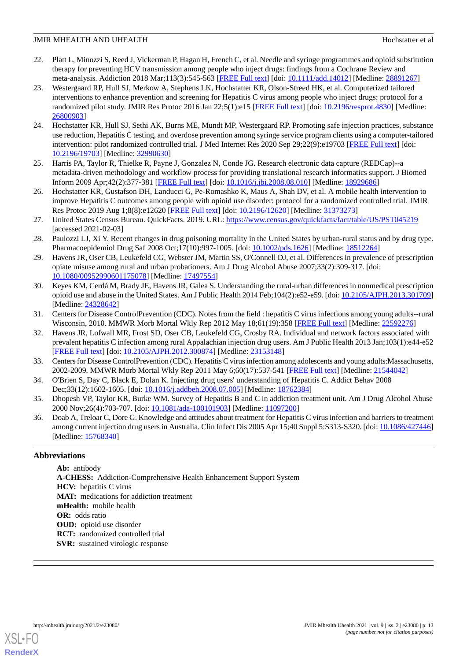- <span id="page-12-0"></span>22. Platt L, Minozzi S, Reed J, Vickerman P, Hagan H, French C, et al. Needle and syringe programmes and opioid substitution therapy for preventing HCV transmission among people who inject drugs: findings from a Cochrane Review and meta-analysis. Addiction 2018 Mar;113(3):545-563 [[FREE Full text\]](http://europepmc.org/abstract/MED/28891267) [doi: [10.1111/add.14012](http://dx.doi.org/10.1111/add.14012)] [Medline: [28891267](http://www.ncbi.nlm.nih.gov/entrez/query.fcgi?cmd=Retrieve&db=PubMed&list_uids=28891267&dopt=Abstract)]
- <span id="page-12-1"></span>23. Westergaard RP, Hull SJ, Merkow A, Stephens LK, Hochstatter KR, Olson-Streed HK, et al. Computerized tailored interventions to enhance prevention and screening for Hepatitis C virus among people who inject drugs: protocol for a randomized pilot study. JMIR Res Protoc 2016 Jan 22;5(1):e15 [\[FREE Full text\]](https://www.researchprotocols.org/2016/1/e15/) [doi: [10.2196/resprot.4830](http://dx.doi.org/10.2196/resprot.4830)] [Medline: [26800903](http://www.ncbi.nlm.nih.gov/entrez/query.fcgi?cmd=Retrieve&db=PubMed&list_uids=26800903&dopt=Abstract)]
- <span id="page-12-2"></span>24. Hochstatter KR, Hull SJ, Sethi AK, Burns ME, Mundt MP, Westergaard RP. Promoting safe injection practices, substance use reduction, Hepatitis C testing, and overdose prevention among syringe service program clients using a computer-tailored intervention: pilot randomized controlled trial. J Med Internet Res 2020 Sep 29;22(9):e19703 [[FREE Full text\]](https://www.jmir.org/2020/9/e19703/) [doi: [10.2196/19703\]](http://dx.doi.org/10.2196/19703) [Medline: [32990630\]](http://www.ncbi.nlm.nih.gov/entrez/query.fcgi?cmd=Retrieve&db=PubMed&list_uids=32990630&dopt=Abstract)
- <span id="page-12-4"></span><span id="page-12-3"></span>25. Harris PA, Taylor R, Thielke R, Payne J, Gonzalez N, Conde JG. Research electronic data capture (REDCap)--a metadata-driven methodology and workflow process for providing translational research informatics support. J Biomed Inform 2009 Apr;42(2):377-381 [\[FREE Full text\]](https://linkinghub.elsevier.com/retrieve/pii/S1532-0464(08)00122-6) [doi: [10.1016/j.jbi.2008.08.010](http://dx.doi.org/10.1016/j.jbi.2008.08.010)] [Medline: [18929686](http://www.ncbi.nlm.nih.gov/entrez/query.fcgi?cmd=Retrieve&db=PubMed&list_uids=18929686&dopt=Abstract)]
- <span id="page-12-5"></span>26. Hochstatter KR, Gustafson DH, Landucci G, Pe-Romashko K, Maus A, Shah DV, et al. A mobile health intervention to improve Hepatitis C outcomes among people with opioid use disorder: protocol for a randomized controlled trial. JMIR Res Protoc 2019 Aug 1;8(8):e12620 [\[FREE Full text\]](https://www.researchprotocols.org/2019/8/e12620/) [doi: [10.2196/12620](http://dx.doi.org/10.2196/12620)] [Medline: [31373273](http://www.ncbi.nlm.nih.gov/entrez/query.fcgi?cmd=Retrieve&db=PubMed&list_uids=31373273&dopt=Abstract)]
- <span id="page-12-6"></span>27. United States Census Bureau. QuickFacts. 2019. URL: <https://www.census.gov/quickfacts/fact/table/US/PST045219> [accessed 2021-02-03]
- 28. Paulozzi LJ, Xi Y. Recent changes in drug poisoning mortality in the United States by urban-rural status and by drug type. Pharmacoepidemiol Drug Saf 2008 Oct;17(10):997-1005. [doi: [10.1002/pds.1626](http://dx.doi.org/10.1002/pds.1626)] [Medline: [18512264](http://www.ncbi.nlm.nih.gov/entrez/query.fcgi?cmd=Retrieve&db=PubMed&list_uids=18512264&dopt=Abstract)]
- <span id="page-12-7"></span>29. Havens JR, Oser CB, Leukefeld CG, Webster JM, Martin SS, O'Connell DJ, et al. Differences in prevalence of prescription opiate misuse among rural and urban probationers. Am J Drug Alcohol Abuse 2007;33(2):309-317. [doi: [10.1080/00952990601175078\]](http://dx.doi.org/10.1080/00952990601175078) [Medline: [17497554\]](http://www.ncbi.nlm.nih.gov/entrez/query.fcgi?cmd=Retrieve&db=PubMed&list_uids=17497554&dopt=Abstract)
- <span id="page-12-8"></span>30. Keyes KM, Cerdá M, Brady JE, Havens JR, Galea S. Understanding the rural-urban differences in nonmedical prescription opioid use and abuse in the United States. Am J Public Health 2014 Feb;104(2):e52-e59. [doi: [10.2105/AJPH.2013.301709](http://dx.doi.org/10.2105/AJPH.2013.301709)] [Medline: [24328642](http://www.ncbi.nlm.nih.gov/entrez/query.fcgi?cmd=Retrieve&db=PubMed&list_uids=24328642&dopt=Abstract)]
- 31. Centers for Disease ControlPrevention (CDC). Notes from the field : hepatitis C virus infections among young adults--rural Wisconsin, 2010. MMWR Morb Mortal Wkly Rep 2012 May 18;61(19):358 [[FREE Full text](https://www.cdc.gov/mmwr/preview/mmwrhtml/mm6119a7.htm)] [Medline: [22592276](http://www.ncbi.nlm.nih.gov/entrez/query.fcgi?cmd=Retrieve&db=PubMed&list_uids=22592276&dopt=Abstract)]
- <span id="page-12-10"></span><span id="page-12-9"></span>32. Havens JR, Lofwall MR, Frost SD, Oser CB, Leukefeld CG, Crosby RA. Individual and network factors associated with prevalent hepatitis C infection among rural Appalachian injection drug users. Am J Public Health 2013 Jan;103(1):e44-e52 [[FREE Full text](http://europepmc.org/abstract/MED/23153148)] [doi: [10.2105/AJPH.2012.300874\]](http://dx.doi.org/10.2105/AJPH.2012.300874) [Medline: [23153148](http://www.ncbi.nlm.nih.gov/entrez/query.fcgi?cmd=Retrieve&db=PubMed&list_uids=23153148&dopt=Abstract)]
- 33. Centers for Disease ControlPrevention (CDC). Hepatitis C virus infection among adolescents and young adults:Massachusetts, 2002-2009. MMWR Morb Mortal Wkly Rep 2011 May 6;60(17):537-541 [[FREE Full text](https://www.cdc.gov/mmwr/preview/mmwrhtml/mm6017a2.htm)] [Medline: [21544042\]](http://www.ncbi.nlm.nih.gov/entrez/query.fcgi?cmd=Retrieve&db=PubMed&list_uids=21544042&dopt=Abstract)
- <span id="page-12-11"></span>34. O'Brien S, Day C, Black E, Dolan K. Injecting drug users' understanding of Hepatitis C. Addict Behav 2008 Dec;33(12):1602-1605. [doi: [10.1016/j.addbeh.2008.07.005](http://dx.doi.org/10.1016/j.addbeh.2008.07.005)] [Medline: [18762384](http://www.ncbi.nlm.nih.gov/entrez/query.fcgi?cmd=Retrieve&db=PubMed&list_uids=18762384&dopt=Abstract)]
- 35. Dhopesh VP, Taylor KR, Burke WM. Survey of Hepatitis B and C in addiction treatment unit. Am J Drug Alcohol Abuse 2000 Nov;26(4):703-707. [doi: [10.1081/ada-100101903](http://dx.doi.org/10.1081/ada-100101903)] [Medline: [11097200](http://www.ncbi.nlm.nih.gov/entrez/query.fcgi?cmd=Retrieve&db=PubMed&list_uids=11097200&dopt=Abstract)]
- 36. Doab A, Treloar C, Dore G. Knowledge and attitudes about treatment for Hepatitis C virus infection and barriers to treatment among current injection drug users in Australia. Clin Infect Dis 2005 Apr 15;40 Suppl 5:S313-S320. [doi: [10.1086/427446](http://dx.doi.org/10.1086/427446)] [Medline: [15768340](http://www.ncbi.nlm.nih.gov/entrez/query.fcgi?cmd=Retrieve&db=PubMed&list_uids=15768340&dopt=Abstract)]

#### **Abbreviations**

**Ab:** antibody **A-CHESS:** Addiction-Comprehensive Health Enhancement Support System **HCV:** hepatitis C virus **MAT:** medications for addiction treatment **mHealth:** mobile health **OR:** odds ratio **OUD:** opioid use disorder **RCT:** randomized controlled trial **SVR:** sustained virologic response